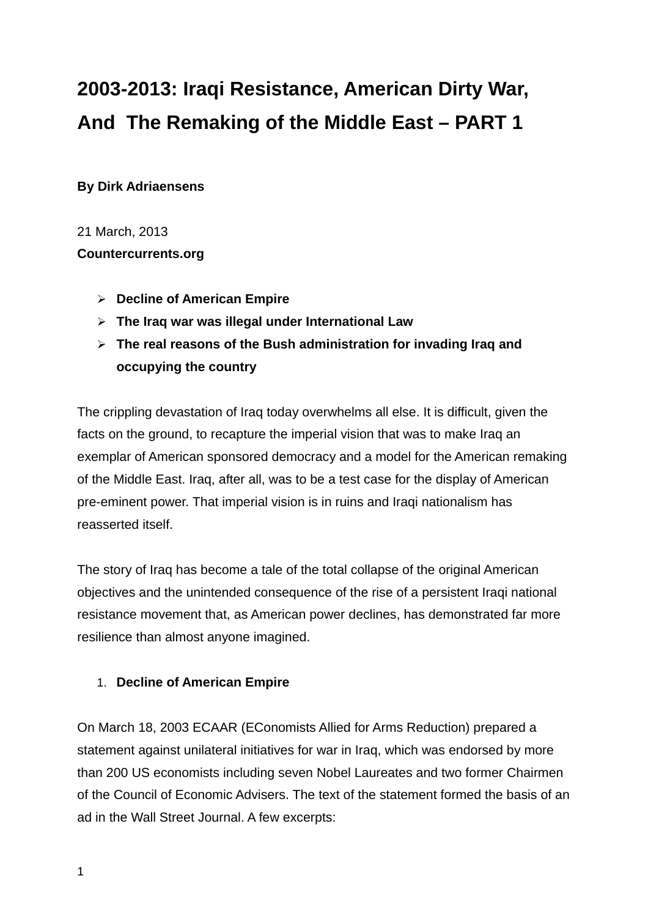# **2003-2013: Iraqi Resistance, American Dirty War, And The Remaking of the Middle East – PART 1**

**By Dirk Adriaensens** 

21 March, 2013

**Countercurrents.org**

- **Decline of American Empire**
- **The Iraq war was illegal under International Law**
- **The real reasons of the Bush administration for invading Iraq and occupying the country**

The crippling devastation of Iraq today overwhelms all else. It is difficult, given the facts on the ground, to recapture the imperial vision that was to make Iraq an exemplar of American sponsored democracy and a model for the American remaking of the Middle East. Iraq, after all, was to be a test case for the display of American pre-eminent power. That imperial vision is in ruins and Iraqi nationalism has reasserted itself.

The story of Iraq has become a tale of the total collapse of the original American objectives and the unintended consequence of the rise of a persistent Iraqi national resistance movement that, as American power declines, has demonstrated far more resilience than almost anyone imagined.

### 1. **Decline of American Empire**

On March 18, 2003 ECAAR (EConomists Allied for Arms Reduction) prepared a statement against unilateral initiatives for war in Iraq, which was endorsed by more than 200 US economists including seven Nobel Laureates and two former Chairmen of the Council of Economic Advisers. The text of the statement formed the basis of an ad in the Wall Street Journal. A few excerpts: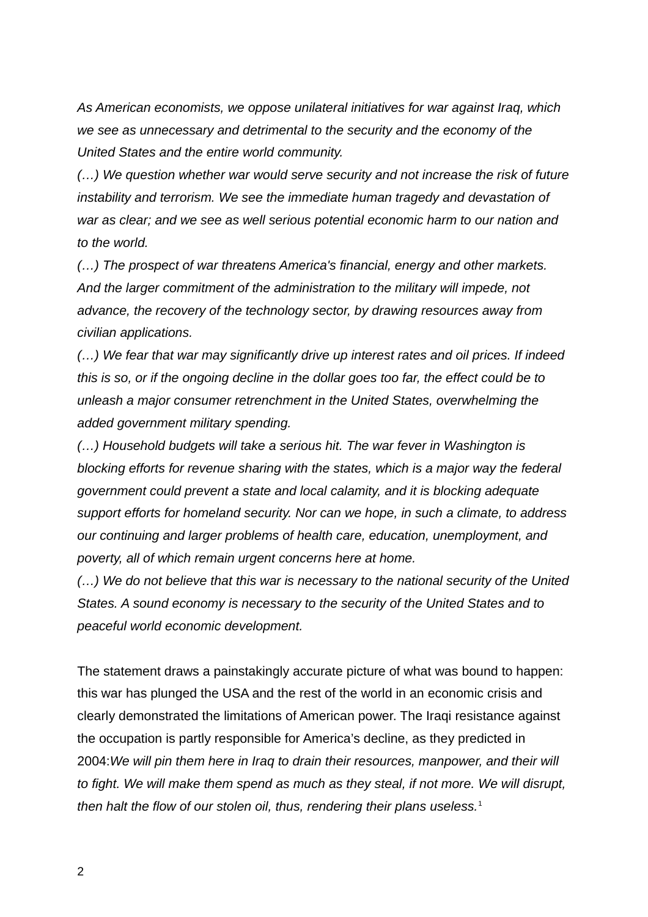*As American economists, we oppose unilateral initiatives for war against Iraq, which we see as unnecessary and detrimental to the security and the economy of the United States and the entire world community.*

*(…) We question whether war would serve security and not increase the risk of future instability and terrorism. We see the immediate human tragedy and devastation of war as clear; and we see as well serious potential economic harm to our nation and to the world.* 

*(…) The prospect of war threatens America's financial, energy and other markets. And the larger commitment of the administration to the military will impede, not advance, the recovery of the technology sector, by drawing resources away from civilian applications.*

*(…) We fear that war may significantly drive up interest rates and oil prices. If indeed this is so, or if the ongoing decline in the dollar goes too far, the effect could be to unleash a major consumer retrenchment in the United States, overwhelming the added government military spending.* 

*(…) Household budgets will take a serious hit. The war fever in Washington is blocking efforts for revenue sharing with the states, which is a major way the federal government could prevent a state and local calamity, and it is blocking adequate support efforts for homeland security. Nor can we hope, in such a climate, to address our continuing and larger problems of health care, education, unemployment, and poverty, all of which remain urgent concerns here at home.*

*(…) We do not believe that this war is necessary to the national security of the United States. A sound economy is necessary to the security of the United States and to peaceful world economic development.*

The statement draws a painstakingly accurate picture of what was bound to happen: this war has plunged the USA and the rest of the world in an economic crisis and clearly demonstrated the limitations of American power. The Iraqi resistance against the occupation is partly responsible for America's decline, as they predicted in 2004:*We will pin them here in Iraq to drain their resources, manpower, and their will to fight. We will make them spend as much as they steal, if not more. We will disrupt, then halt the flow of our stolen oil, thus, rendering their plans useless.*[1](#page-21-0)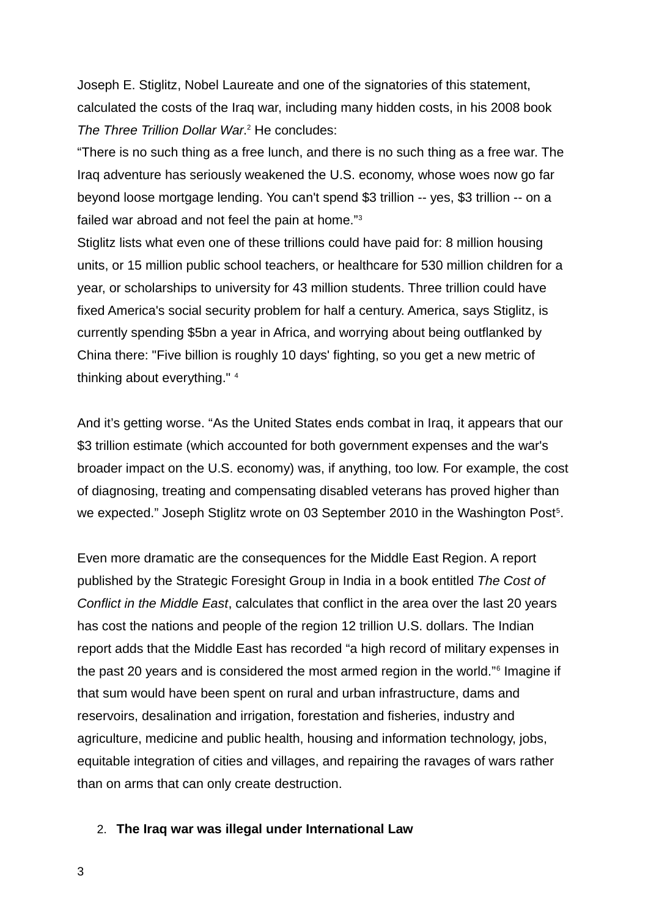Joseph E. Stiglitz, Nobel Laureate and one of the signatories of this statement, calculated the costs of the Iraq war, including many hidden costs, in his 2008 book The Three Trillion Dollar War.<sup>[2](#page-21-1)</sup> He concludes:

"There is no such thing as a free lunch, and there is no such thing as a free war. The Iraq adventure has seriously weakened the U.S. economy, whose woes now go far beyond loose mortgage lending. You can't spend \$3 trillion -- yes, \$3 trillion -- on a failed war abroad and not feel the pain at home."[3](#page-21-2)

Stiglitz lists what even one of these trillions could have paid for: 8 million housing units, or 15 million public school teachers, or healthcare for 530 million children for a year, or scholarships to university for 43 million students. Three trillion could have fixed America's social security problem for half a century. America, says Stiglitz, is currently spending \$5bn a year in Africa, and worrying about being outflanked by China there: "Five billion is roughly 10 days' fighting, so you get a new metric of thinking about everything."<sup>[4](#page-21-3)</sup>

And it's getting worse. "As the United States ends combat in Iraq, it appears that our \$3 trillion estimate (which accounted for both government expenses and the war's broader impact on the U.S. economy) was, if anything, too low. For example, the cost of diagnosing, treating and compensating disabled veterans has proved higher than we expected." Joseph Stiglitz wrote on 03 September 2010 in the Washington Post<sup>[5](#page-21-4)</sup>.

Even more dramatic are the consequences for the Middle East Region. A report published by the Strategic Foresight Group in India in a book entitled *The Cost of Conflict in the Middle East*, calculates that conflict in the area over the last 20 years has cost the nations and people of the region 12 trillion U.S. dollars. The Indian report adds that the Middle East has recorded "a high record of military expenses in the past 20 years and is considered the most armed region in the world."<sup>[6](#page-21-5)</sup> Imagine if that sum would have been spent on rural and urban infrastructure, dams and reservoirs, desalination and irrigation, forestation and fisheries, industry and agriculture, medicine and public health, housing and information technology, jobs, equitable integration of cities and villages, and repairing the ravages of wars rather than on arms that can only create destruction.

#### 2. **The Iraq war was illegal under International Law**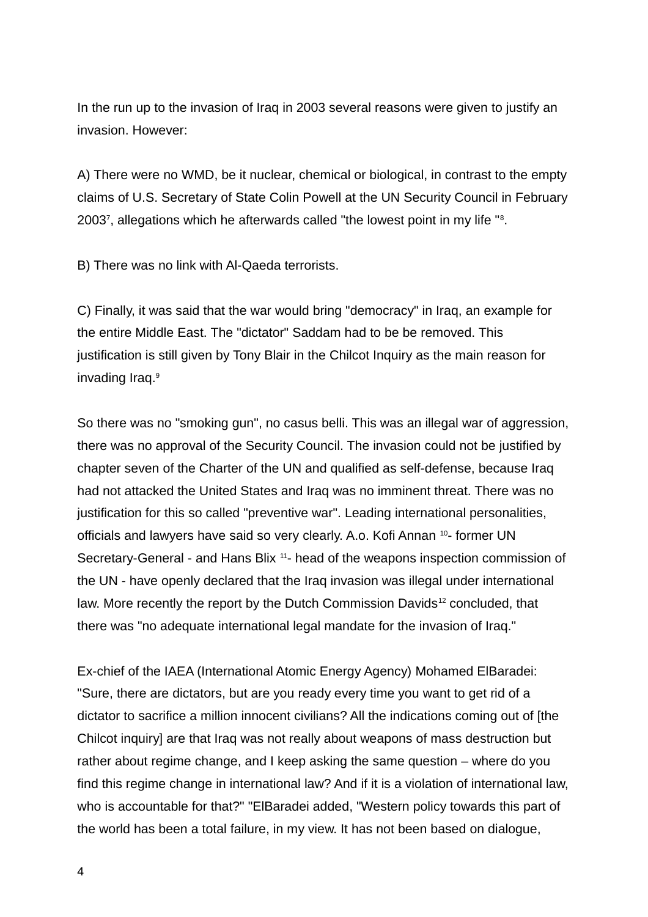In the run up to the invasion of Iraq in 2003 several reasons were given to justify an invasion. However:

A) There were no WMD, be it nuclear, chemical or biological, in contrast to the empty claims of U.S. Secretary of State Colin Powell at the UN Security Council in February 2003[7](#page-21-6) , allegations which he afterwards called "the lowest point in my life "[8](#page-21-7) .

B) There was no link with Al-Qaeda terrorists.

C) Finally, it was said that the war would bring "democracy" in Iraq, an example for the entire Middle East. The "dictator" Saddam had to be be removed. This justification is still given by Tony Blair in the Chilcot Inquiry as the main reason for invading Iraq.<sup>[9](#page-21-8)</sup>

So there was no "smoking gun", no casus belli. This was an illegal war of aggression, there was no approval of the Security Council. The invasion could not be justified by chapter seven of the Charter of the UN and qualified as self-defense, because Iraq had not attacked the United States and Iraq was no imminent threat. There was no justification for this so called "preventive war". Leading international personalities, officials and lawyers have said so very clearly. A.o. Kofi Annan <sup>[10](#page-21-9)</sup>- former UN Secretary-General - and Hans Blix  $11$ - head of the weapons inspection commission of the UN - have openly declared that the Iraq invasion was illegal under international law. More recently the report by the Dutch Commission Davids<sup>[12](#page-21-11)</sup> concluded, that there was "no adequate international legal mandate for the invasion of Iraq."

Ex-chief of the IAEA (International Atomic Energy Agency) Mohamed ElBaradei: "Sure, there are dictators, but are you ready every time you want to get rid of a dictator to sacrifice a million innocent civilians? All the indications coming out of [the Chilcot inquiry] are that Iraq was not really about weapons of mass destruction but rather about regime change, and I keep asking the same question – where do you find this regime change in international law? And if it is a violation of international law, who is accountable for that?" "ElBaradei added, "Western policy towards this part of the world has been a total failure, in my view. It has not been based on dialogue,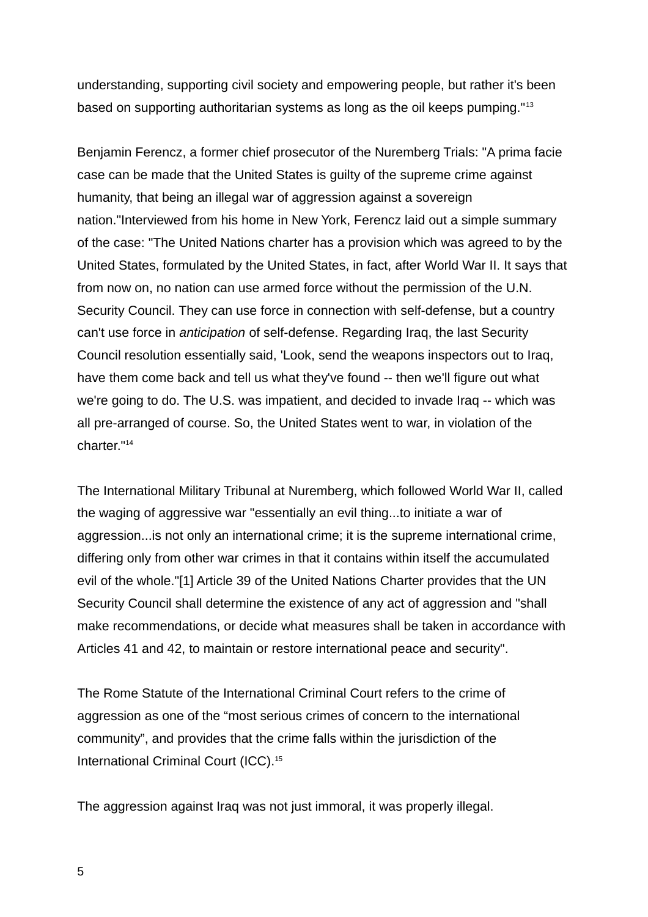understanding, supporting civil society and empowering people, but rather it's been based on supporting authoritarian systems as long as the oil keeps pumping."[13](#page-21-12)

Benjamin Ferencz, a former chief prosecutor of the Nuremberg Trials: "A prima facie case can be made that the United States is guilty of the supreme crime against humanity, that being an illegal war of aggression against a sovereign nation."Interviewed from his home in New York, Ferencz laid out a simple summary of the case: "The United Nations charter has a provision which was agreed to by the United States, formulated by the United States, in fact, after World War II. It says that from now on, no nation can use armed force without the permission of the U.N. Security Council. They can use force in connection with self-defense, but a country can't use force in *anticipation* of self-defense. Regarding Iraq, the last Security Council resolution essentially said, 'Look, send the weapons inspectors out to Iraq, have them come back and tell us what they've found -- then we'll figure out what we're going to do. The U.S. was impatient, and decided to invade Iraq -- which was all pre-arranged of course. So, the United States went to war, in violation of the charter."[14](#page-21-13)

The International Military Tribunal at Nuremberg, which followed World War II, called the waging of aggressive war "essentially an evil thing...to initiate a war of aggression...is not only an international crime; it is the supreme international crime, differing only from other war crimes in that it contains within itself the accumulated evil of the whole."[1] Article 39 of the United Nations Charter provides that the UN Security Council shall determine the existence of any act of aggression and "shall make recommendations, or decide what measures shall be taken in accordance with Articles 41 and 42, to maintain or restore international peace and security".

The Rome Statute of the International Criminal Court refers to the crime of aggression as one of the "most serious crimes of concern to the international community", and provides that the crime falls within the jurisdiction of the International Criminal Court (ICC).<sup>[15](#page-21-14)</sup>

The aggression against Iraq was not just immoral, it was properly illegal.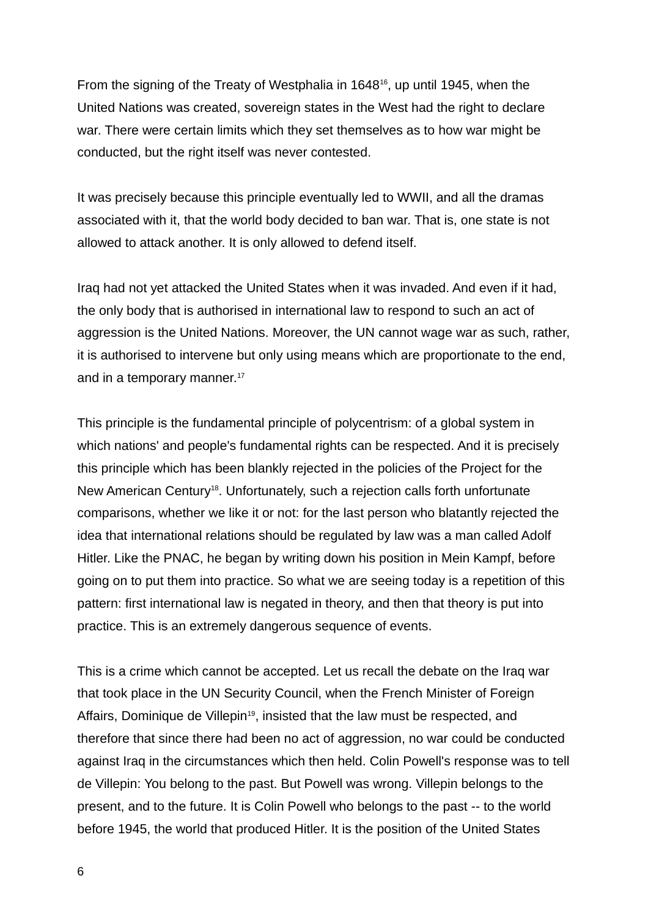From the signing of the Treaty of Westphalia in [16](#page-22-0)48<sup>16</sup>, up until 1945, when the United Nations was created, sovereign states in the West had the right to declare war. There were certain limits which they set themselves as to how war might be conducted, but the right itself was never contested.

It was precisely because this principle eventually led to WWII, and all the dramas associated with it, that the world body decided to ban war. That is, one state is not allowed to attack another. It is only allowed to defend itself.

Iraq had not yet attacked the United States when it was invaded. And even if it had, the only body that is authorised in international law to respond to such an act of aggression is the United Nations. Moreover, the UN cannot wage war as such, rather, it is authorised to intervene but only using means which are proportionate to the end, and in a temporary manner. $17$ 

This principle is the fundamental principle of polycentrism: of a global system in which nations' and people's fundamental rights can be respected. And it is precisely this principle which has been blankly rejected in the policies of the Project for the New American Century<sup>[18](#page-22-2)</sup>. Unfortunately, such a rejection calls forth unfortunate comparisons, whether we like it or not: for the last person who blatantly rejected the idea that international relations should be regulated by law was a man called Adolf Hitler. Like the PNAC, he began by writing down his position in Mein Kampf, before going on to put them into practice. So what we are seeing today is a repetition of this pattern: first international law is negated in theory, and then that theory is put into practice. This is an extremely dangerous sequence of events.

This is a crime which cannot be accepted. Let us recall the debate on the Iraq war that took place in the UN Security Council, when the French Minister of Foreign Affairs, Dominique de Villepin<sup>[19](#page-22-3)</sup>, insisted that the law must be respected, and therefore that since there had been no act of aggression, no war could be conducted against Iraq in the circumstances which then held. Colin Powell's response was to tell de Villepin: You belong to the past. But Powell was wrong. Villepin belongs to the present, and to the future. It is Colin Powell who belongs to the past -- to the world before 1945, the world that produced Hitler. It is the position of the United States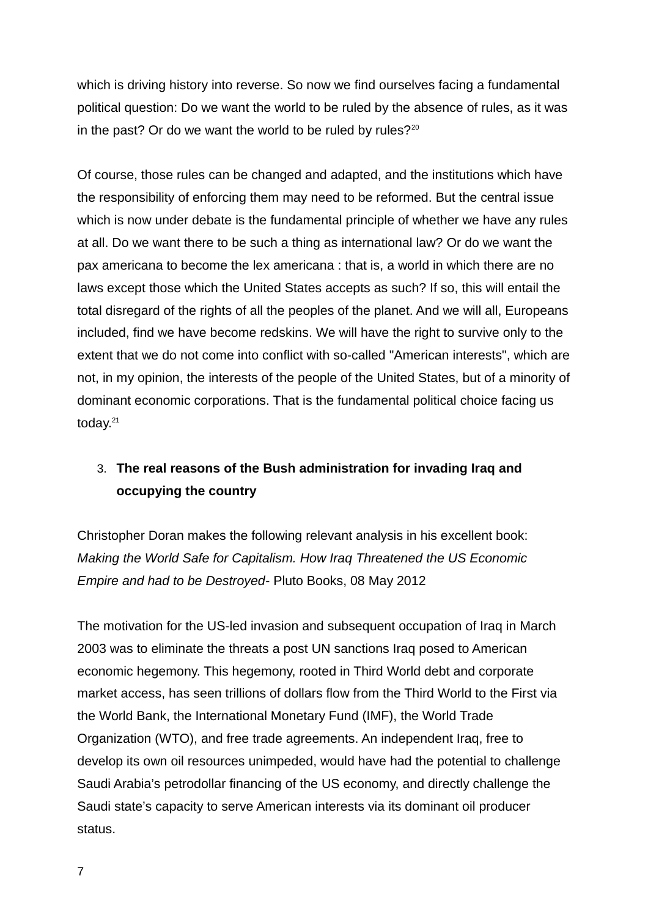which is driving history into reverse. So now we find ourselves facing a fundamental political question: Do we want the world to be ruled by the absence of rules, as it was in the past? Or do we want the world to be ruled by rules? $20^{\circ}$  $20^{\circ}$ 

Of course, those rules can be changed and adapted, and the institutions which have the responsibility of enforcing them may need to be reformed. But the central issue which is now under debate is the fundamental principle of whether we have any rules at all. Do we want there to be such a thing as international law? Or do we want the pax americana to become the lex americana : that is, a world in which there are no laws except those which the United States accepts as such? If so, this will entail the total disregard of the rights of all the peoples of the planet. And we will all, Europeans included, find we have become redskins. We will have the right to survive only to the extent that we do not come into conflict with so-called "American interests", which are not, in my opinion, the interests of the people of the United States, but of a minority of dominant economic corporations. That is the fundamental political choice facing us today.<sup>[21](#page-22-5)</sup>

## 3. **The real reasons of the Bush administration for invading Iraq and occupying the country**

Christopher Doran makes the following relevant analysis in his excellent book: *Making the World Safe for Capitalism. How Iraq Threatened the US Economic Empire and had to be Destroyed*- Pluto Books, 08 May 2012

The motivation for the US-led invasion and subsequent occupation of Iraq in March 2003 was to eliminate the threats a post UN sanctions Iraq posed to American economic hegemony. This hegemony, rooted in Third World debt and corporate market access, has seen trillions of dollars flow from the Third World to the First via the World Bank, the International Monetary Fund (IMF), the World Trade Organization (WTO), and free trade agreements. An independent Iraq, free to develop its own oil resources unimpeded, would have had the potential to challenge Saudi Arabia's petrodollar financing of the US economy, and directly challenge the Saudi state's capacity to serve American interests via its dominant oil producer status.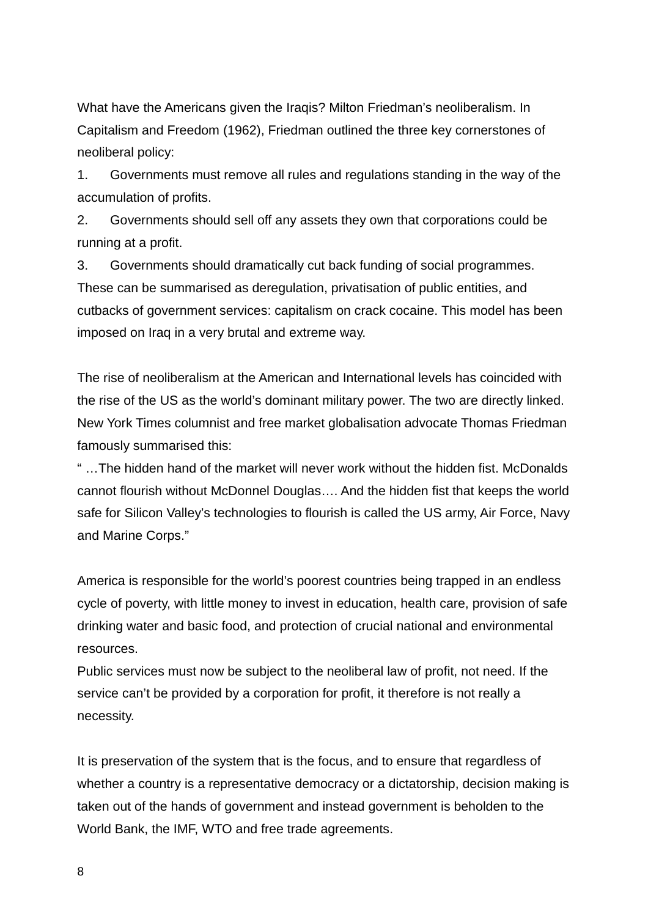What have the Americans given the Iraqis? Milton Friedman's neoliberalism. In Capitalism and Freedom (1962), Friedman outlined the three key cornerstones of neoliberal policy:

1. Governments must remove all rules and regulations standing in the way of the accumulation of profits.

2. Governments should sell off any assets they own that corporations could be running at a profit.

3. Governments should dramatically cut back funding of social programmes. These can be summarised as deregulation, privatisation of public entities, and cutbacks of government services: capitalism on crack cocaine. This model has been imposed on Iraq in a very brutal and extreme way.

The rise of neoliberalism at the American and International levels has coincided with the rise of the US as the world's dominant military power. The two are directly linked. New York Times columnist and free market globalisation advocate Thomas Friedman famously summarised this:

" …The hidden hand of the market will never work without the hidden fist. McDonalds cannot flourish without McDonnel Douglas…. And the hidden fist that keeps the world safe for Silicon Valley's technologies to flourish is called the US army, Air Force, Navy and Marine Corps."

America is responsible for the world's poorest countries being trapped in an endless cycle of poverty, with little money to invest in education, health care, provision of safe drinking water and basic food, and protection of crucial national and environmental resources.

Public services must now be subject to the neoliberal law of profit, not need. If the service can't be provided by a corporation for profit, it therefore is not really a necessity.

It is preservation of the system that is the focus, and to ensure that regardless of whether a country is a representative democracy or a dictatorship, decision making is taken out of the hands of government and instead government is beholden to the World Bank, the IMF, WTO and free trade agreements.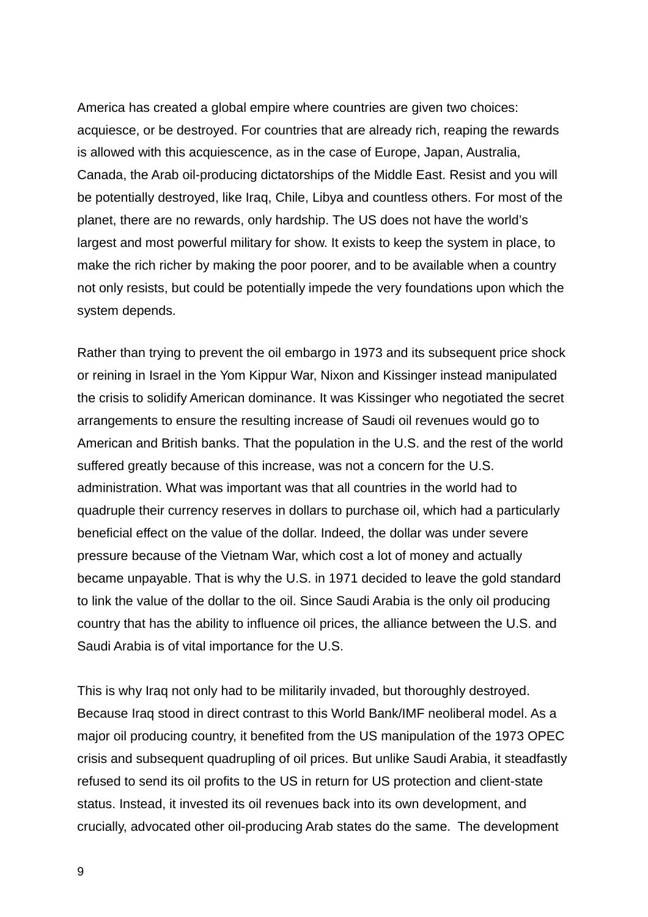America has created a global empire where countries are given two choices: acquiesce, or be destroyed. For countries that are already rich, reaping the rewards is allowed with this acquiescence, as in the case of Europe, Japan, Australia, Canada, the Arab oil-producing dictatorships of the Middle East. Resist and you will be potentially destroyed, like Iraq, Chile, Libya and countless others. For most of the planet, there are no rewards, only hardship. The US does not have the world's largest and most powerful military for show. It exists to keep the system in place, to make the rich richer by making the poor poorer, and to be available when a country not only resists, but could be potentially impede the very foundations upon which the system depends.

Rather than trying to prevent the oil embargo in 1973 and its subsequent price shock or reining in Israel in the Yom Kippur War, Nixon and Kissinger instead manipulated the crisis to solidify American dominance. It was Kissinger who negotiated the secret arrangements to ensure the resulting increase of Saudi oil revenues would go to American and British banks. That the population in the U.S. and the rest of the world suffered greatly because of this increase, was not a concern for the U.S. administration. What was important was that all countries in the world had to quadruple their currency reserves in dollars to purchase oil, which had a particularly beneficial effect on the value of the dollar. Indeed, the dollar was under severe pressure because of the Vietnam War, which cost a lot of money and actually became unpayable. That is why the U.S. in 1971 decided to leave the gold standard to link the value of the dollar to the oil. Since Saudi Arabia is the only oil producing country that has the ability to influence oil prices, the alliance between the U.S. and Saudi Arabia is of vital importance for the U.S.

This is why Iraq not only had to be militarily invaded, but thoroughly destroyed. Because Iraq stood in direct contrast to this World Bank/IMF neoliberal model. As a major oil producing country, it benefited from the US manipulation of the 1973 OPEC crisis and subsequent quadrupling of oil prices. But unlike Saudi Arabia, it steadfastly refused to send its oil profits to the US in return for US protection and client-state status. Instead, it invested its oil revenues back into its own development, and crucially, advocated other oil-producing Arab states do the same. The development

9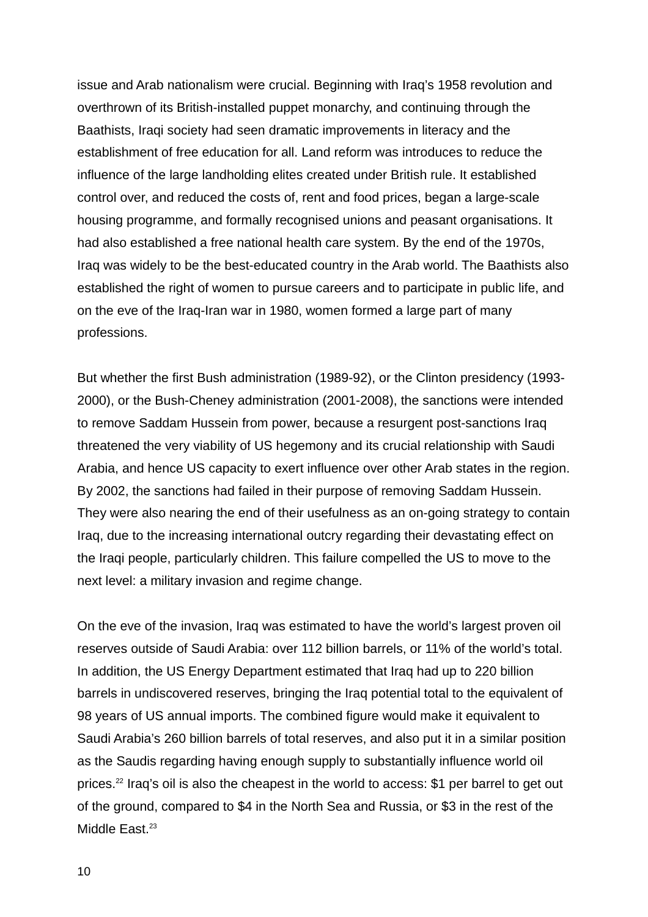issue and Arab nationalism were crucial. Beginning with Iraq's 1958 revolution and overthrown of its British-installed puppet monarchy, and continuing through the Baathists, Iraqi society had seen dramatic improvements in literacy and the establishment of free education for all. Land reform was introduces to reduce the influence of the large landholding elites created under British rule. It established control over, and reduced the costs of, rent and food prices, began a large-scale housing programme, and formally recognised unions and peasant organisations. It had also established a free national health care system. By the end of the 1970s, Iraq was widely to be the best-educated country in the Arab world. The Baathists also established the right of women to pursue careers and to participate in public life, and on the eve of the Iraq-Iran war in 1980, women formed a large part of many professions.

But whether the first Bush administration (1989-92), or the Clinton presidency (1993- 2000), or the Bush-Cheney administration (2001-2008), the sanctions were intended to remove Saddam Hussein from power, because a resurgent post-sanctions Iraq threatened the very viability of US hegemony and its crucial relationship with Saudi Arabia, and hence US capacity to exert influence over other Arab states in the region. By 2002, the sanctions had failed in their purpose of removing Saddam Hussein. They were also nearing the end of their usefulness as an on-going strategy to contain Iraq, due to the increasing international outcry regarding their devastating effect on the Iraqi people, particularly children. This failure compelled the US to move to the next level: a military invasion and regime change.

On the eve of the invasion, Iraq was estimated to have the world's largest proven oil reserves outside of Saudi Arabia: over 112 billion barrels, or 11% of the world's total. In addition, the US Energy Department estimated that Iraq had up to 220 billion barrels in undiscovered reserves, bringing the Iraq potential total to the equivalent of 98 years of US annual imports. The combined figure would make it equivalent to Saudi Arabia's 260 billion barrels of total reserves, and also put it in a similar position as the Saudis regarding having enough supply to substantially influence world oil prices.[22](#page-22-6) Iraq's oil is also the cheapest in the world to access: \$1 per barrel to get out of the ground, compared to \$4 in the North Sea and Russia, or \$3 in the rest of the Middle East.<sup>[23](#page-22-7)</sup>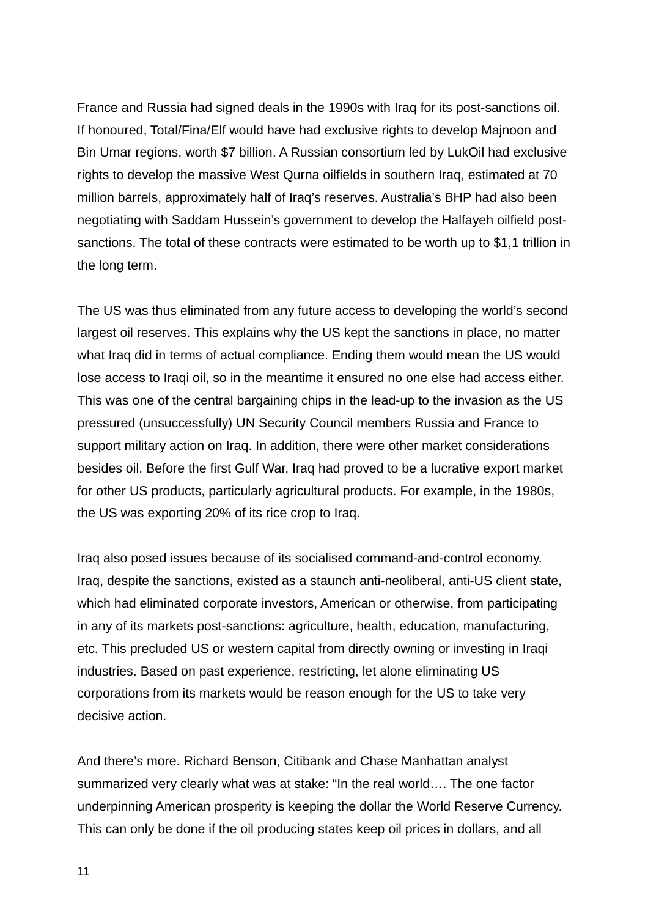France and Russia had signed deals in the 1990s with Iraq for its post-sanctions oil. If honoured, Total/Fina/Elf would have had exclusive rights to develop Majnoon and Bin Umar regions, worth \$7 billion. A Russian consortium led by LukOil had exclusive rights to develop the massive West Qurna oilfields in southern Iraq, estimated at 70 million barrels, approximately half of Iraq's reserves. Australia's BHP had also been negotiating with Saddam Hussein's government to develop the Halfayeh oilfield postsanctions. The total of these contracts were estimated to be worth up to \$1,1 trillion in the long term.

The US was thus eliminated from any future access to developing the world's second largest oil reserves. This explains why the US kept the sanctions in place, no matter what Iraq did in terms of actual compliance. Ending them would mean the US would lose access to Iraqi oil, so in the meantime it ensured no one else had access either. This was one of the central bargaining chips in the lead-up to the invasion as the US pressured (unsuccessfully) UN Security Council members Russia and France to support military action on Iraq. In addition, there were other market considerations besides oil. Before the first Gulf War, Iraq had proved to be a lucrative export market for other US products, particularly agricultural products. For example, in the 1980s, the US was exporting 20% of its rice crop to Iraq.

Iraq also posed issues because of its socialised command-and-control economy. Iraq, despite the sanctions, existed as a staunch anti-neoliberal, anti-US client state, which had eliminated corporate investors, American or otherwise, from participating in any of its markets post-sanctions: agriculture, health, education, manufacturing, etc. This precluded US or western capital from directly owning or investing in Iraqi industries. Based on past experience, restricting, let alone eliminating US corporations from its markets would be reason enough for the US to take very decisive action.

And there's more. Richard Benson, Citibank and Chase Manhattan analyst summarized very clearly what was at stake: "In the real world…. The one factor underpinning American prosperity is keeping the dollar the World Reserve Currency. This can only be done if the oil producing states keep oil prices in dollars, and all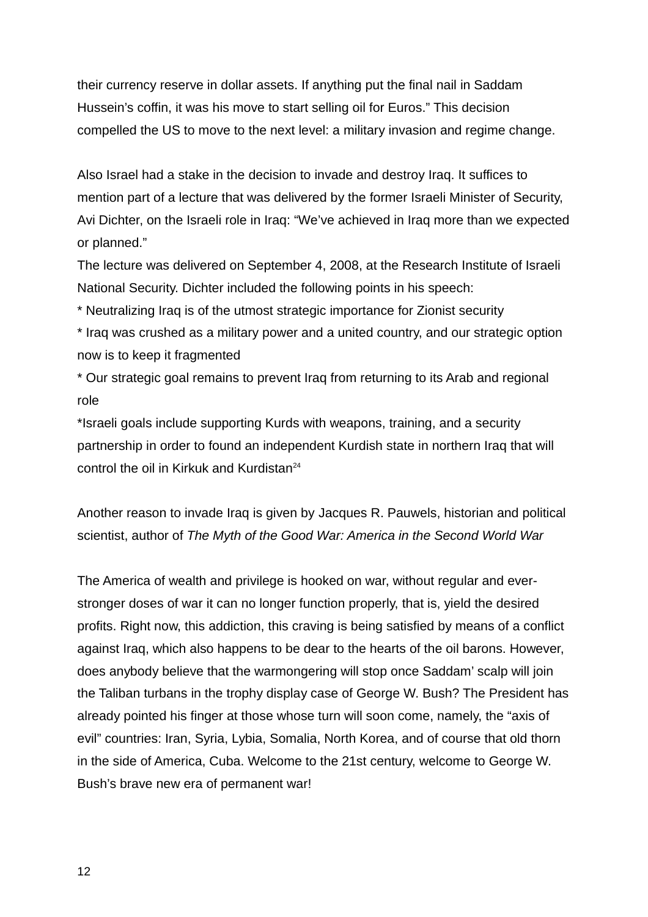their currency reserve in dollar assets. If anything put the final nail in Saddam Hussein's coffin, it was his move to start selling oil for Euros." This decision compelled the US to move to the next level: a military invasion and regime change.

Also Israel had a stake in the decision to invade and destroy Iraq. It suffices to mention part of a lecture that was delivered by the former Israeli Minister of Security, Avi Dichter, on the Israeli role in Iraq: "We've achieved in Iraq more than we expected or planned."

The lecture was delivered on September 4, 2008, at the Research Institute of Israeli National Security. Dichter included the following points in his speech:

\* Neutralizing Iraq is of the utmost strategic importance for Zionist security

\* Iraq was crushed as a military power and a united country, and our strategic option now is to keep it fragmented

\* Our strategic goal remains to prevent Iraq from returning to its Arab and regional role

\*Israeli goals include supporting Kurds with weapons, training, and a security partnership in order to found an independent Kurdish state in northern Iraq that will control the oil in Kirkuk and Kurdistan<sup>[24](#page-22-8)</sup>

Another reason to invade Iraq is given by Jacques R. Pauwels, historian and political scientist, author of *The Myth of the Good War: America in the Second World War*

The America of wealth and privilege is hooked on war, without regular and everstronger doses of war it can no longer function properly, that is, yield the desired profits. Right now, this addiction, this craving is being satisfied by means of a conflict against Iraq, which also happens to be dear to the hearts of the oil barons. However, does anybody believe that the warmongering will stop once Saddam' scalp will join the Taliban turbans in the trophy display case of George W. Bush? The President has already pointed his finger at those whose turn will soon come, namely, the "axis of evil" countries: Iran, Syria, Lybia, Somalia, North Korea, and of course that old thorn in the side of America, Cuba. Welcome to the 21st century, welcome to George W. Bush's brave new era of permanent war!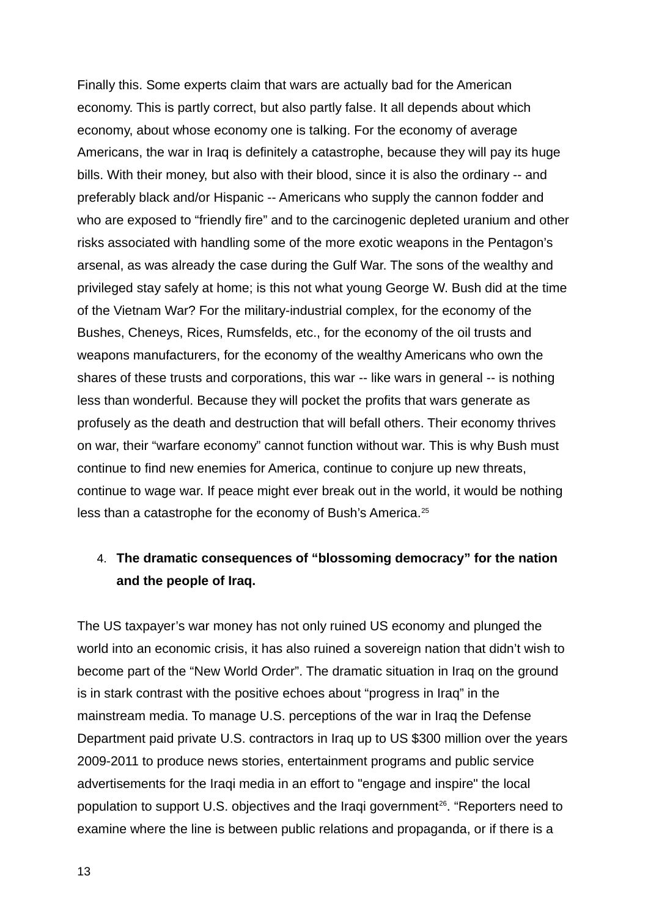Finally this. Some experts claim that wars are actually bad for the American economy. This is partly correct, but also partly false. It all depends about which economy, about whose economy one is talking. For the economy of average Americans, the war in Iraq is definitely a catastrophe, because they will pay its huge bills. With their money, but also with their blood, since it is also the ordinary -- and preferably black and/or Hispanic -- Americans who supply the cannon fodder and who are exposed to "friendly fire" and to the carcinogenic depleted uranium and other risks associated with handling some of the more exotic weapons in the Pentagon's arsenal, as was already the case during the Gulf War. The sons of the wealthy and privileged stay safely at home; is this not what young George W. Bush did at the time of the Vietnam War? For the military-industrial complex, for the economy of the Bushes, Cheneys, Rices, Rumsfelds, etc., for the economy of the oil trusts and weapons manufacturers, for the economy of the wealthy Americans who own the shares of these trusts and corporations, this war -- like wars in general -- is nothing less than wonderful. Because they will pocket the profits that wars generate as profusely as the death and destruction that will befall others. Their economy thrives on war, their "warfare economy" cannot function without war. This is why Bush must continue to find new enemies for America, continue to conjure up new threats, continue to wage war. If peace might ever break out in the world, it would be nothing less than a catastrophe for the economy of Bush's America.[25](#page-22-9)

## 4. **The dramatic consequences of "blossoming democracy" for the nation and the people of Iraq.**

The US taxpayer's war money has not only ruined US economy and plunged the world into an economic crisis, it has also ruined a sovereign nation that didn't wish to become part of the "New World Order". The dramatic situation in Iraq on the ground is in stark contrast with the positive echoes about "progress in Iraq" in the mainstream media. To manage U.S. perceptions of the war in Iraq the Defense Department paid private U.S. contractors in Iraq up to US \$300 million over the years 2009-2011 to produce news stories, entertainment programs and public service advertisements for the Iraqi media in an effort to "engage and inspire" the local population to support U.S. objectives and the Iragi government<sup>[26](#page-22-10)</sup>. "Reporters need to examine where the line is between public relations and propaganda, or if there is a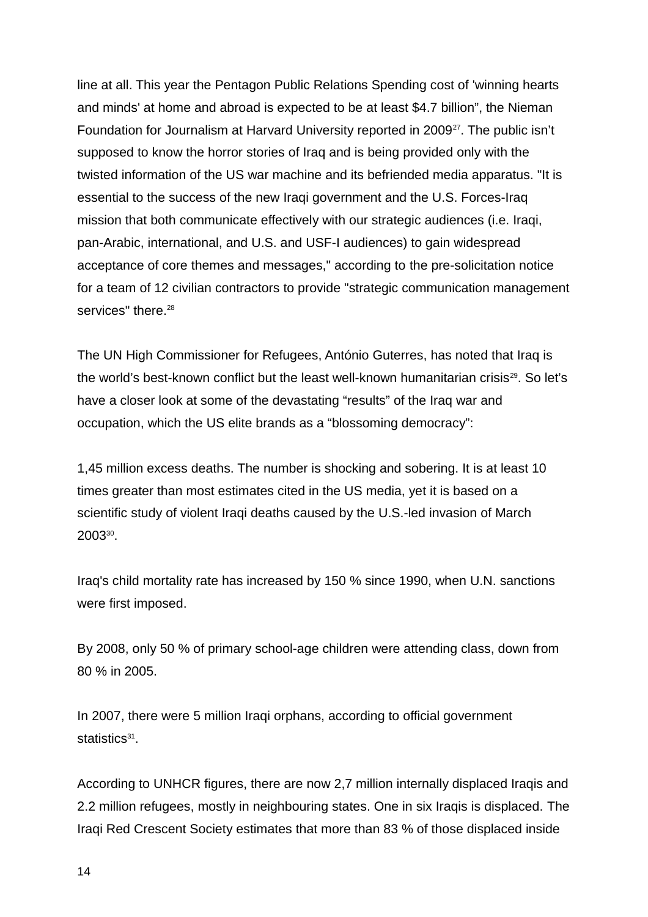line at all. This year the Pentagon Public Relations Spending cost of 'winning hearts and minds' at home and abroad is expected to be at least \$4.7 billion", the Nieman Foundation for Journalism at Harvard University reported in 2009<sup>[27](#page-22-11)</sup>. The public isn't supposed to know the horror stories of Iraq and is being provided only with the twisted information of the US war machine and its befriended media apparatus. "It is essential to the success of the new Iraqi government and the U.S. Forces-Iraq mission that both communicate effectively with our strategic audiences (i.e. Iraqi, pan-Arabic, international, and U.S. and USF-I audiences) to gain widespread acceptance of core themes and messages," according to the pre-solicitation notice for a team of 12 civilian contractors to provide "strategic communication management services" there.<sup>[28](#page-22-12)</sup>

The UN High Commissioner for Refugees, António Guterres, has noted that Iraq is the world's best-known conflict but the least well-known humanitarian crisis<sup>[29](#page-22-13)</sup>. So let's have a closer look at some of the devastating "results" of the Iraq war and occupation, which the US elite brands as a "blossoming democracy":

1,45 million excess deaths. The number is shocking and sobering. It is at least 10 times greater than most estimates cited in the US media, yet it is based on a scientific study of violent Iraqi deaths caused by the U.S.-led invasion of March  $2003^{30}$  $2003^{30}$  $2003^{30}$ .

Iraq's child mortality rate has increased by 150 % since 1990, when U.N. sanctions were first imposed.

By 2008, only 50 % of primary school-age children were attending class, down from 80 % in 2005.

In 2007, there were 5 million Iraqi orphans, according to official government statistics[31](#page-23-0).

According to UNHCR figures, there are now 2,7 million internally displaced Iraqis and 2.2 million refugees, mostly in neighbouring states. One in six Iraqis is displaced. The Iraqi Red Crescent Society estimates that more than 83 % of those displaced inside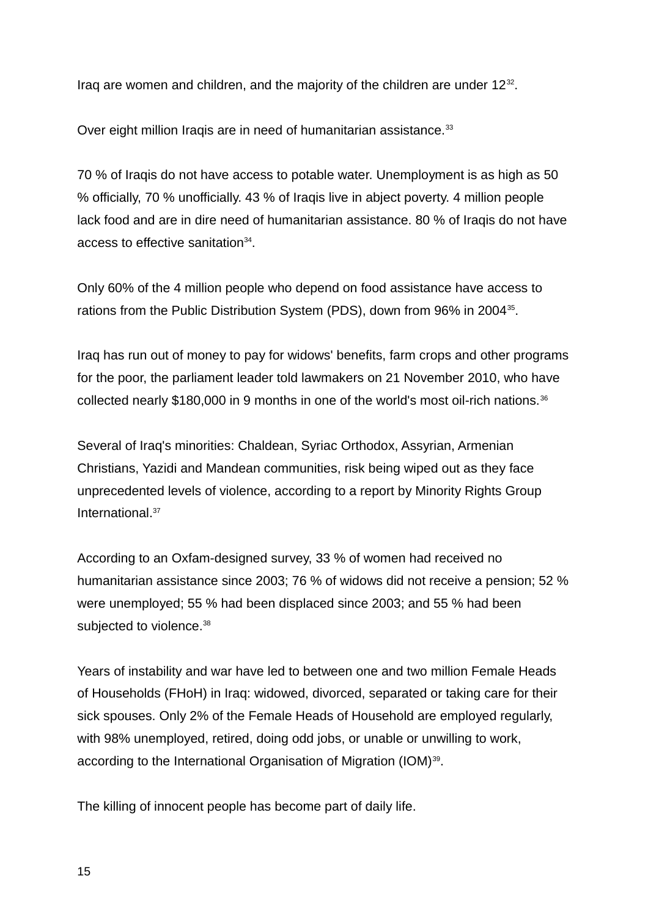Iraq are women and children, and the majority of the children are under  $12^{32}$  $12^{32}$  $12^{32}$ .

Over eight million Iraqis are in need of humanitarian assistance.<sup>[33](#page-23-2)</sup>

70 % of Iraqis do not have access to potable water. Unemployment is as high as 50 % officially, 70 % unofficially. 43 % of Iraqis live in abject poverty. 4 million people lack food and are in dire need of humanitarian assistance. 80 % of Iraqis do not have access to effective sanitation<sup>[34](#page-23-3)</sup>.

Only 60% of the 4 million people who depend on food assistance have access to rations from the Public Distribution System (PDS), down from 96% in 2004<sup>[35](#page-23-4)</sup>.

Iraq has run out of money to pay for widows' benefits, farm crops and other programs for the poor, the parliament leader told lawmakers on 21 November 2010, who have collected nearly \$180,000 in 9 months in one of the world's most oil-rich nations.<sup>[36](#page-23-5)</sup>

Several of Iraq's minorities: Chaldean, Syriac Orthodox, Assyrian, Armenian Christians, Yazidi and Mandean communities, risk being wiped out as they face unprecedented levels of violence, according to a report by Minority Rights Group International.[37](#page-23-6)

According to an Oxfam-designed survey, 33 % of women had received no humanitarian assistance since 2003; 76 % of widows did not receive a pension; 52 % were unemployed; 55 % had been displaced since 2003; and 55 % had been subjected to violence.<sup>[38](#page-23-7)</sup>

Years of instability and war have led to between one and two million Female Heads of Households (FHoH) in Iraq: widowed, divorced, separated or taking care for their sick spouses. Only 2% of the Female Heads of Household are employed regularly, with 98% unemployed, retired, doing odd jobs, or unable or unwilling to work, according to the International Organisation of Migration (IOM)<sup>[39](#page-23-8)</sup>.

The killing of innocent people has become part of daily life.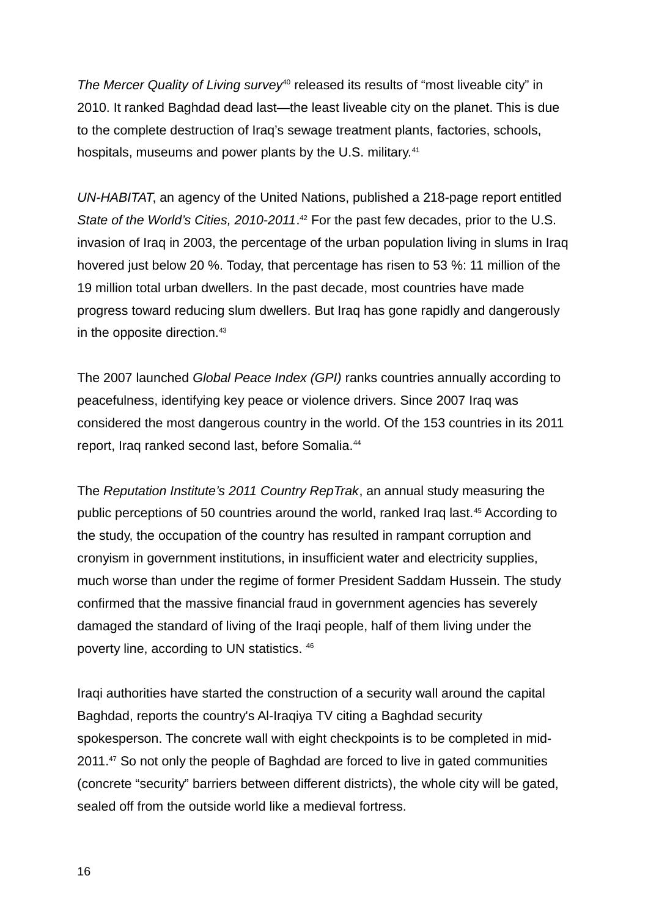*The Mercer Quality of Living survey*<sup>[40](#page-23-9)</sup> released its results of "most liveable city" in 2010. It ranked Baghdad dead last—the least liveable city on the planet. This is due to the complete destruction of Iraq's sewage treatment plants, factories, schools, hospitals, museums and power plants by the U.S. military.<sup>[41](#page-23-10)</sup>

*UN-HABITAT*, an agency of the United Nations, published a 218-page report entitled State of the World's Cities, 2010-2011.<sup>[42](#page-23-11)</sup> For the past few decades, prior to the U.S. invasion of Iraq in 2003, the percentage of the urban population living in slums in Iraq hovered just below 20 %. Today, that percentage has risen to 53 %: 11 million of the 19 million total urban dwellers. In the past decade, most countries have made progress toward reducing slum dwellers. But Iraq has gone rapidly and dangerously in the opposite direction.<sup>[43](#page-23-12)</sup>

The 2007 launched *Global Peace Index (GPI)* ranks countries annually according to peacefulness, identifying key peace or violence drivers. Since 2007 Iraq was considered the most dangerous country in the world. Of the 153 countries in its 2011 report, Iraq ranked second last, before Somalia.<sup>[44](#page-23-13)</sup>

The *Reputation Institute's 2011 Country RepTrak*, an annual study measuring the public perceptions of 50 countries around the world, ranked Iraq last.[45](#page-23-14) According to the study, the occupation of the country has resulted in rampant corruption and cronyism in government institutions, in insufficient water and electricity supplies, much worse than under the regime of former President Saddam Hussein. The study confirmed that the massive financial fraud in government agencies has severely damaged the standard of living of the Iraqi people, half of them living under the poverty line, according to UN statistics. [46](#page-24-0)

Iraqi authorities have started the construction of a security wall around the capital Baghdad, reports the country's Al-Iraqiya TV citing a Baghdad security spokesperson. The concrete wall with eight checkpoints is to be completed in mid-2011.<sup>[47](#page-24-1)</sup> So not only the people of Baghdad are forced to live in gated communities (concrete "security" barriers between different districts), the whole city will be gated, sealed off from the outside world like a medieval fortress.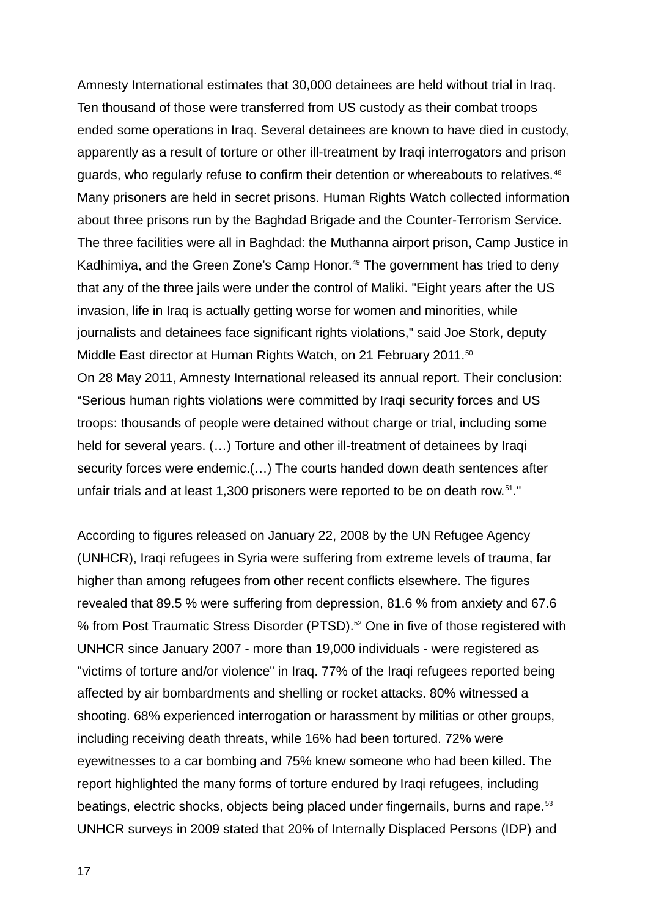Amnesty International estimates that 30,000 detainees are held without trial in Iraq. Ten thousand of those were transferred from US custody as their combat troops ended some operations in Iraq. Several detainees are known to have died in custody, apparently as a result of torture or other ill-treatment by Iraqi interrogators and prison guards, who regularly refuse to confirm their detention or whereabouts to relatives.<sup>[48](#page-24-2)</sup> Many prisoners are held in secret prisons. Human Rights Watch collected information about three prisons run by the Baghdad Brigade and the Counter-Terrorism Service. The three facilities were all in Baghdad: the Muthanna airport prison, Camp Justice in Kadhimiya, and the Green Zone's Camp Honor.<sup>[49](#page-24-3)</sup> The government has tried to deny that any of the three jails were under the control of Maliki. "Eight years after the US invasion, life in Iraq is actually getting worse for women and minorities, while journalists and detainees face significant rights violations," said Joe Stork, deputy Middle East director at Human Rights Watch, on 21 February 2011.<sup>[50](#page-24-4)</sup> On 28 May 2011, Amnesty International released its annual report. Their conclusion: "Serious human rights violations were committed by Iraqi security forces and US troops: thousands of people were detained without charge or trial, including some held for several years. (…) Torture and other ill-treatment of detainees by Iraqi security forces were endemic.(…) The courts handed down death sentences after unfair trials and at least 1,300 prisoners were reported to be on death row.<sup>[51](#page-24-5)</sup>."

According to figures released on January 22, 2008 by the UN Refugee Agency (UNHCR), Iraqi refugees in Syria were suffering from extreme levels of trauma, far higher than among refugees from other recent conflicts elsewhere. The figures revealed that 89.5 % were suffering from depression, 81.6 % from anxiety and 67.6 % from Post Traumatic Stress Disorder (PTSD).<sup>[52](#page-24-6)</sup> One in five of those registered with UNHCR since January 2007 - more than 19,000 individuals - were registered as "victims of torture and/or violence" in Iraq. 77% of the Iraqi refugees reported being affected by air bombardments and shelling or rocket attacks. 80% witnessed a shooting. 68% experienced interrogation or harassment by militias or other groups, including receiving death threats, while 16% had been tortured. 72% were eyewitnesses to a car bombing and 75% knew someone who had been killed. The report highlighted the many forms of torture endured by Iraqi refugees, including beatings, electric shocks, objects being placed under fingernails, burns and rape.<sup>[53](#page-24-7)</sup> UNHCR surveys in 2009 stated that 20% of Internally Displaced Persons (IDP) and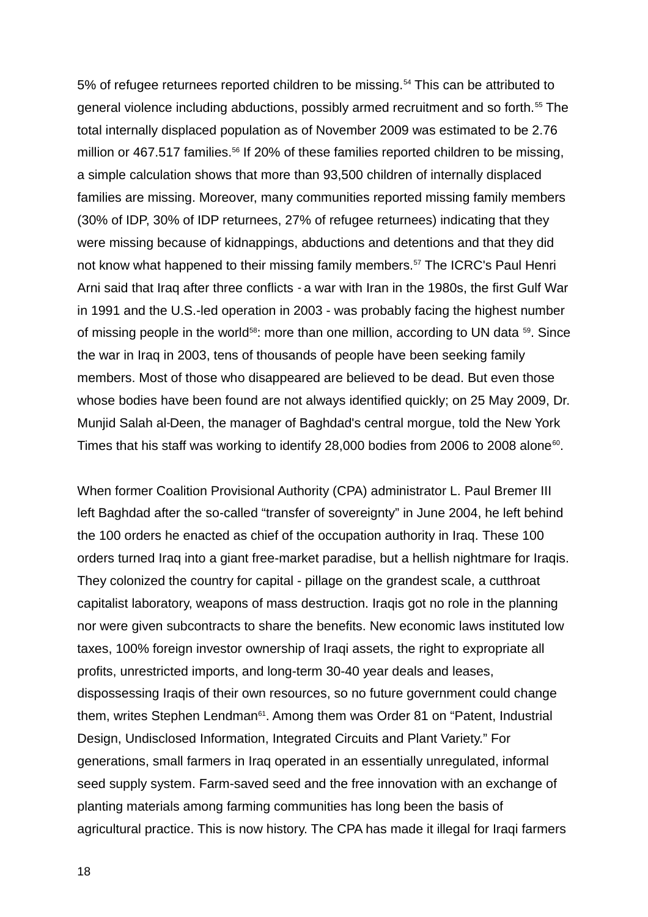5% of refugee returnees reported children to be missing.<sup>[54](#page-24-8)</sup> This can be attributed to general violence including abductions, possibly armed recruitment and so forth.<sup>[55](#page-24-9)</sup> The total internally displaced population as of November 2009 was estimated to be 2.76 million or 467.517 families.<sup>[56](#page-24-10)</sup> If 20% of these families reported children to be missing, a simple calculation shows that more than 93,500 children of internally displaced families are missing. Moreover, many communities reported missing family members (30% of IDP, 30% of IDP returnees, 27% of refugee returnees) indicating that they were missing because of kidnappings, abductions and detentions and that they did not know what happened to their missing family members.<sup>[57](#page-24-11)</sup> The ICRC's Paul Henri Arni said that Iraq after three conflicts - a war with Iran in the 1980s, the first Gulf War in 1991 and the U.S.-led operation in 2003 - was probably facing the highest number of missing people in the world<sup>[58](#page-24-12)</sup>: more than one million, according to UN data  $59$ . Since the war in Iraq in 2003, tens of thousands of people have been seeking family members. Most of those who disappeared are believed to be dead. But even those whose bodies have been found are not always identified quickly; on 25 May 2009, Dr. Munjid Salah al-Deen, the manager of Baghdad's central morgue, told the New York Times that his staff was working to identify 28,000 bodies from 2006 to 2008 alone $^{\text{\tiny{60}}}$  $^{\text{\tiny{60}}}$  $^{\text{\tiny{60}}}$ .

When former Coalition Provisional Authority (CPA) administrator L. Paul Bremer III left Baghdad after the so-called "transfer of sovereignty" in June 2004, he left behind the 100 orders he enacted as chief of the occupation authority in Iraq. These 100 orders turned Iraq into a giant free-market paradise, but a hellish nightmare for Iraqis. They colonized the country for capital - pillage on the grandest scale, a cutthroat capitalist laboratory, weapons of mass destruction. Iraqis got no role in the planning nor were given subcontracts to share the benefits. New economic laws instituted low taxes, 100% foreign investor ownership of Iraqi assets, the right to expropriate all profits, unrestricted imports, and long-term 30-40 year deals and leases, dispossessing Iraqis of their own resources, so no future government could change them, writes Stephen Lendman<sup>[61](#page-25-1)</sup>. Among them was Order 81 on "Patent, Industrial Design, Undisclosed Information, Integrated Circuits and Plant Variety." For generations, small farmers in Iraq operated in an essentially unregulated, informal seed supply system. Farm-saved seed and the free innovation with an exchange of planting materials among farming communities has long been the basis of agricultural practice. This is now history. The CPA has made it illegal for Iraqi farmers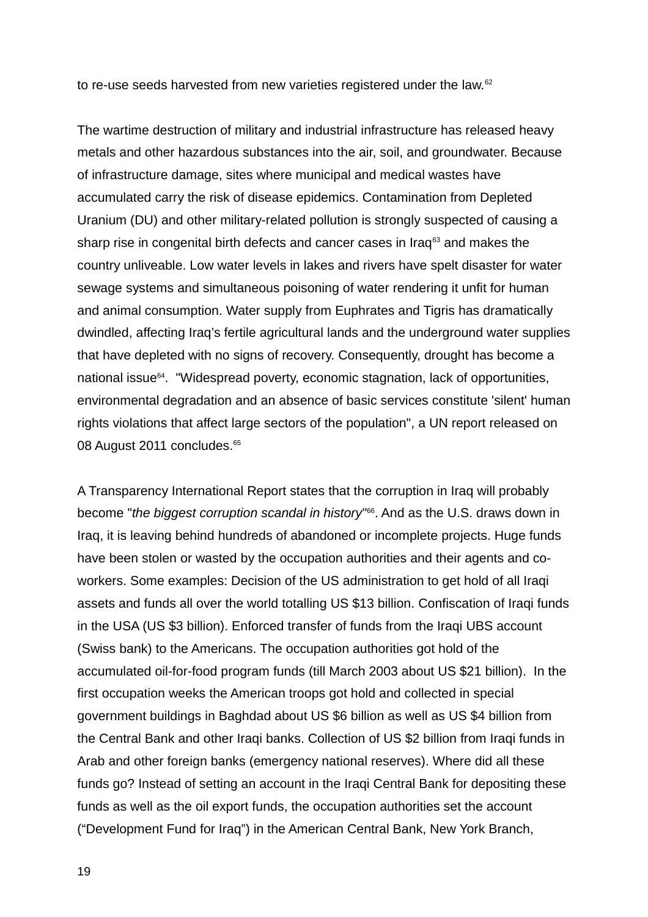to re-use seeds harvested from new varieties registered under the law.<sup>[62](#page-25-2)</sup>

The wartime destruction of military and industrial infrastructure has released heavy metals and other hazardous substances into the air, soil, and groundwater. Because of infrastructure damage, sites where municipal and medical wastes have accumulated carry the risk of disease epidemics. Contamination from Depleted Uranium (DU) and other military-related pollution is strongly suspected of causing a sharp rise in congenital birth defects and cancer cases in Iraq $63$  and makes the country unliveable. Low water levels in lakes and rivers have spelt disaster for water sewage systems and simultaneous poisoning of water rendering it unfit for human and animal consumption. Water supply from Euphrates and Tigris has dramatically dwindled, affecting Iraq's fertile agricultural lands and the underground water supplies that have depleted with no signs of recovery. Consequently, drought has become a national issue<sup>[64](#page-25-4)</sup>. "Widespread poverty, economic stagnation, lack of opportunities, environmental degradation and an absence of basic services constitute 'silent' human rights violations that affect large sectors of the population", a UN report released on 08 August 2011 concludes.<sup>[65](#page-25-5)</sup>

A Transparency International Report states that the corruption in Iraq will probably become "*the biggest corruption scandal in history*" [66](#page-25-6) . And as the U.S. draws down in Iraq, it is leaving behind hundreds of abandoned or incomplete projects. Huge funds have been stolen or wasted by the occupation authorities and their agents and coworkers. Some examples: Decision of the US administration to get hold of all Iraqi assets and funds all over the world totalling US \$13 billion. Confiscation of Iraqi funds in the USA (US \$3 billion). Enforced transfer of funds from the Iraqi UBS account (Swiss bank) to the Americans. The occupation authorities got hold of the accumulated oil-for-food program funds (till March 2003 about US \$21 billion). In the first occupation weeks the American troops got hold and collected in special government buildings in Baghdad about US \$6 billion as well as US \$4 billion from the Central Bank and other Iraqi banks. Collection of US \$2 billion from Iraqi funds in Arab and other foreign banks (emergency national reserves). Where did all these funds go? Instead of setting an account in the Iraqi Central Bank for depositing these funds as well as the oil export funds, the occupation authorities set the account ("Development Fund for Iraq") in the American Central Bank, New York Branch,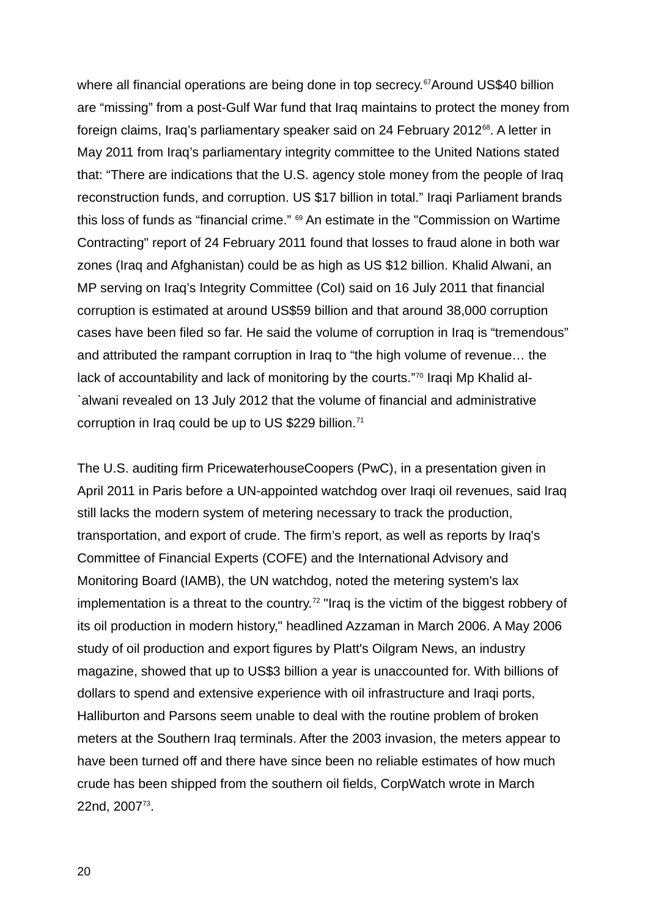where all financial operations are being done in top secrecy.<sup>[67](#page-25-7)</sup>Around US\$40 billion are "missing" from a post-Gulf War fund that Iraq maintains to protect the money from foreign claims, Iraq's parliamentary speaker said on 24 February 2012<sup>[68](#page-25-8)</sup>. A letter in May 2011 from Iraq's parliamentary integrity committee to the United Nations stated that: "There are indications that the U.S. agency stole money from the people of Iraq reconstruction funds, and corruption. US \$17 billion in total." Iraqi Parliament brands this loss of funds as "financial crime." [69](#page-25-9) An estimate in the "Commission on Wartime Contracting" report of 24 February 2011 found that losses to fraud alone in both war zones (Iraq and Afghanistan) could be as high as US \$12 billion. Khalid Alwani, an MP serving on Iraq's Integrity Committee (CoI) said on 16 July 2011 that financial corruption is estimated at around US\$59 billion and that around 38,000 corruption cases have been filed so far. He said the volume of corruption in Iraq is "tremendous" and attributed the rampant corruption in Iraq to "the high volume of revenue… the lack of accountability and lack of monitoring by the courts."<sup>[70](#page-25-10)</sup> Iragi Mp Khalid al-`alwani revealed on 13 July 2012 that the volume of financial and administrative corruption in Iraq could be up to US \$229 billion.<sup>[71](#page-25-11)</sup>

The U.S. auditing firm PricewaterhouseCoopers (PwC), in a presentation given in April 2011 in Paris before a UN-appointed watchdog over Iraqi oil revenues, said Iraq still lacks the modern system of metering necessary to track the production, transportation, and export of crude. The firm's report, as well as reports by Iraq's Committee of Financial Experts (COFE) and the International Advisory and Monitoring Board (IAMB), the UN watchdog, noted the metering system's lax implementation is a threat to the country.<sup>[72](#page-25-12)</sup> "Irag is the victim of the biggest robbery of its oil production in modern history," headlined Azzaman in March 2006. A May 2006 study of oil production and export figures by Platt's Oilgram News, an industry magazine, showed that up to US\$3 billion a year is unaccounted for. With billions of dollars to spend and extensive experience with oil infrastructure and Iraqi ports, Halliburton and Parsons seem unable to deal with the routine problem of broken meters at the Southern Iraq terminals. After the 2003 invasion, the meters appear to have been turned off and there have since been no reliable estimates of how much crude has been shipped from the southern oil fields, CorpWatch wrote in March 22nd, 2007<sup>[73](#page-25-13)</sup>.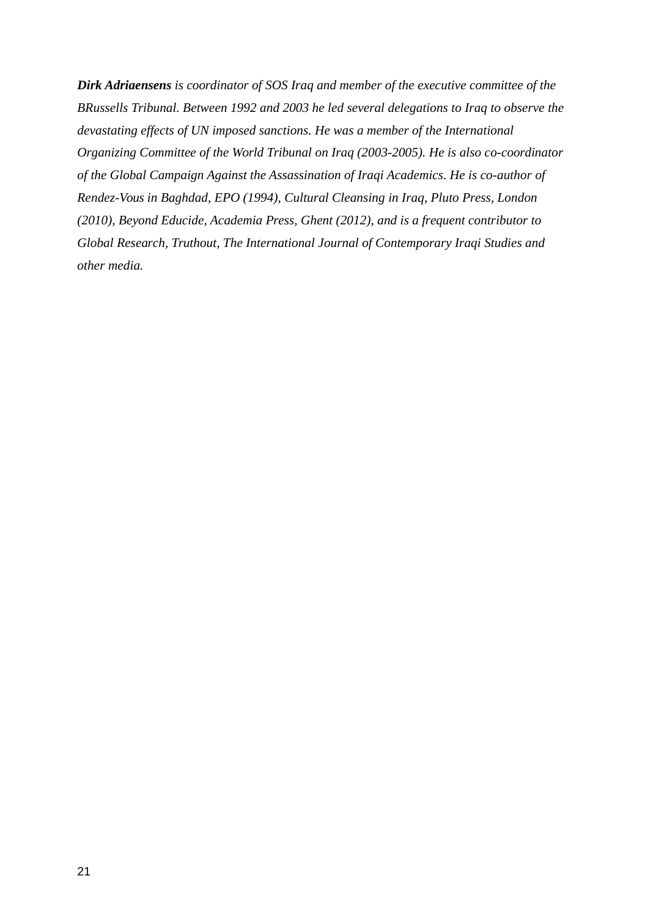*Dirk Adriaensens is coordinator of SOS Iraq and member of the executive committee of the BRussells Tribunal. Between 1992 and 2003 he led several delegations to Iraq to observe the devastating effects of UN imposed sanctions. He was a member of the International Organizing Committee of the World Tribunal on Iraq (2003-2005). He is also co-coordinator of the Global Campaign Against the Assassination of Iraqi Academics. He is co-author of Rendez-Vous in Baghdad, EPO (1994), Cultural Cleansing in Iraq, Pluto Press, London (2010), Beyond Educide, Academia Press, Ghent (2012), and is a frequent contributor to Global Research, Truthout, The International Journal of Contemporary Iraqi Studies and other media.*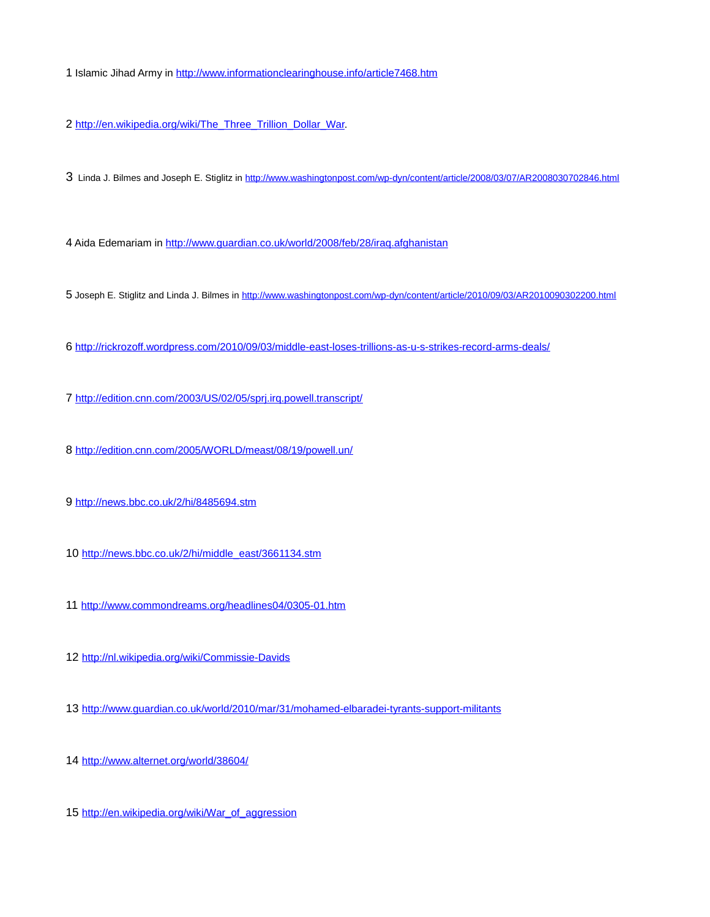Islamic Jihad Army in<http://www.informationclearinghouse.info/article7468.htm>

<span id="page-21-0"></span>[http://en.wikipedia.org/wiki/The\\_Three\\_Trillion\\_Dollar\\_War.](http://en.wikipedia.org/wiki/The_Three_Trillion_Dollar_War)

<span id="page-21-1"></span>Linda J. Bilmes and Joseph E. Stiglitz in<http://www.washingtonpost.com/wp-dyn/content/article/2008/03/07/AR2008030702846.html>

<span id="page-21-2"></span>Aida Edemariam in<http://www.guardian.co.uk/world/2008/feb/28/iraq.afghanistan>

<span id="page-21-3"></span>Joseph E. Stiglitz and Linda J. Bilmes in<http://www.washingtonpost.com/wp-dyn/content/article/2010/09/03/AR2010090302200.html>

<span id="page-21-4"></span><http://rickrozoff.wordpress.com/2010/09/03/middle-east-loses-trillions-as-u-s-strikes-record-arms-deals/>

<span id="page-21-5"></span><http://edition.cnn.com/2003/US/02/05/sprj.irq.powell.transcript/>

<span id="page-21-6"></span><http://edition.cnn.com/2005/WORLD/meast/08/19/powell.un/>

<span id="page-21-7"></span><http://news.bbc.co.uk/2/hi/8485694.stm>

<span id="page-21-8"></span>[http://news.bbc.co.uk/2/hi/middle\\_east/3661134.stm](http://news.bbc.co.uk/2/hi/middle_east/3661134.stm)

<span id="page-21-9"></span><http://www.commondreams.org/headlines04/0305-01.htm>

<span id="page-21-10"></span><http://nl.wikipedia.org/wiki/Commissie-Davids>

<span id="page-21-11"></span><http://www.guardian.co.uk/world/2010/mar/31/mohamed-elbaradei-tyrants-support-militants>

<span id="page-21-12"></span><http://www.alternet.org/world/38604/>

<span id="page-21-14"></span><span id="page-21-13"></span>[http://en.wikipedia.org/wiki/War\\_of\\_aggression](http://en.wikipedia.org/wiki/War_of_aggression)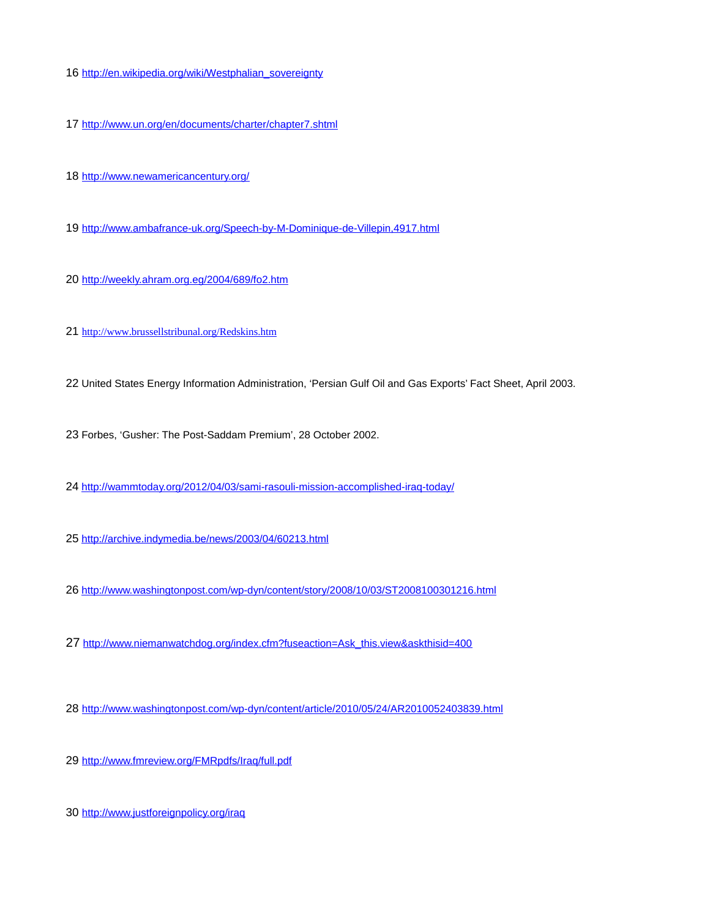- [http://en.wikipedia.org/wiki/Westphalian\\_sovereignty](http://en.wikipedia.org/wiki/Westphalian_sovereignty)
- <span id="page-22-0"></span><http://www.un.org/en/documents/charter/chapter7.shtml>
- <span id="page-22-1"></span><http://www.newamericancentury.org/>
- <span id="page-22-2"></span><http://www.ambafrance-uk.org/Speech-by-M-Dominique-de-Villepin,4917.html>
- <span id="page-22-3"></span><http://weekly.ahram.org.eg/2004/689/fo2.htm>
- <span id="page-22-4"></span><http://www.brussellstribunal.org/Redskins.htm>
- <span id="page-22-5"></span>United States Energy Information Administration, 'Persian Gulf Oil and Gas Exports' Fact Sheet, April 2003.
- <span id="page-22-6"></span>Forbes, 'Gusher: The Post-Saddam Premium', 28 October 2002.
- <span id="page-22-7"></span><http://wammtoday.org/2012/04/03/sami-rasouli-mission-accomplished-iraq-today/>
- <span id="page-22-8"></span><http://archive.indymedia.be/news/2003/04/60213.html>
- <span id="page-22-9"></span><http://www.washingtonpost.com/wp-dyn/content/story/2008/10/03/ST2008100301216.html>
- <span id="page-22-10"></span>[http://www.niemanwatchdog.org/index.cfm?fuseaction=Ask\\_this.view&askthisid=400](http://www.niemanwatchdog.org/index.cfm?fuseaction=Ask_this.view&askthisid=400)
- <span id="page-22-11"></span><http://www.washingtonpost.com/wp-dyn/content/article/2010/05/24/AR2010052403839.html>
- <span id="page-22-12"></span><http://www.fmreview.org/FMRpdfs/Iraq/full.pdf>
- <span id="page-22-14"></span><span id="page-22-13"></span><http://www.justforeignpolicy.org/iraq>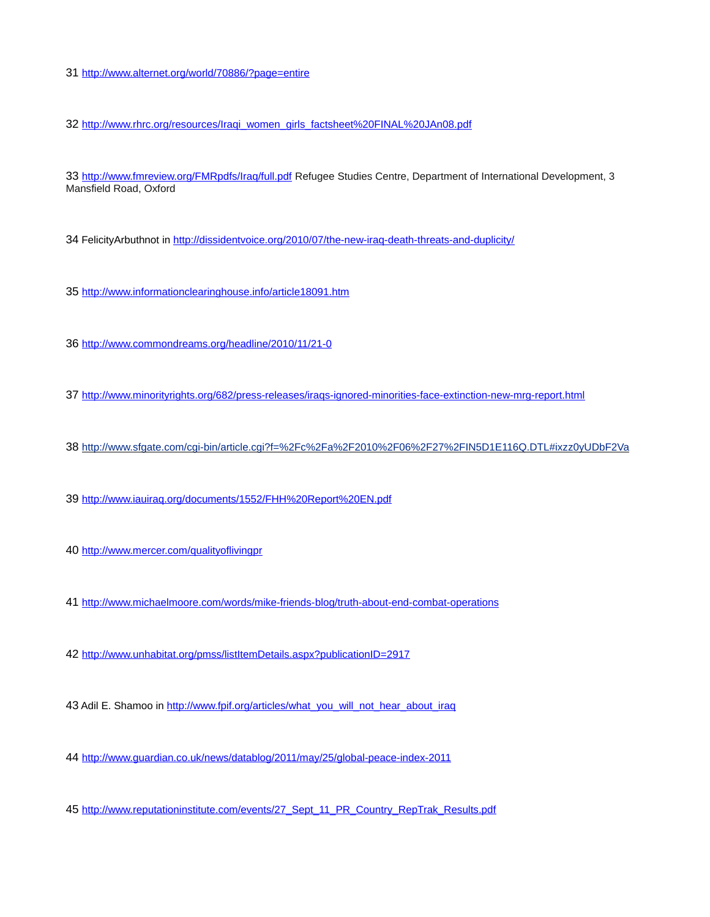<http://www.alternet.org/world/70886/?page=entire>

<span id="page-23-0"></span>[http://www.rhrc.org/resources/Iraqi\\_women\\_girls\\_factsheet%20FINAL%20JAn08.pdf](http://www.rhrc.org/resources/Iraqi_women_girls_factsheet%20FINAL%20JAn08.pdf)

<span id="page-23-1"></span><http://www.fmreview.org/FMRpdfs/Iraq/full.pdf> Refugee Studies Centre, Department of International Development, 3 Mansfield Road, Oxford

<span id="page-23-2"></span>34 FelicityArbuthnot in<http://dissidentvoice.org/2010/07/the-new-iraq-death-threats-and-duplicity/>

<span id="page-23-3"></span><http://www.informationclearinghouse.info/article18091.htm>

<span id="page-23-4"></span><http://www.commondreams.org/headline/2010/11/21-0>

<span id="page-23-5"></span><http://www.minorityrights.org/682/press-releases/iraqs-ignored-minorities-face-extinction-new-mrg-report.html>

<span id="page-23-15"></span><span id="page-23-6"></span>[http://www.sfgate.com/cgi-bin/article.cgi?f=%2Fc%2Fa%2F2010%2F06%2F27%2FIN5D1E116Q.DTL#ixzz0yUDbF2Va](#page-23-15)

<span id="page-23-7"></span><http://www.iauiraq.org/documents/1552/FHH%20Report%20EN.pdf>

<span id="page-23-8"></span><http://www.mercer.com/qualityoflivingpr>

<span id="page-23-9"></span><http://www.michaelmoore.com/words/mike-friends-blog/truth-about-end-combat-operations>

<span id="page-23-10"></span><http://www.unhabitat.org/pmss/listItemDetails.aspx?publicationID=2917>

<span id="page-23-11"></span>43 Adil E. Shamoo in [http://www.fpif.org/articles/what\\_you\\_will\\_not\\_hear\\_about\\_iraq](http://www.fpif.org/articles/what_you_will_not_hear_about_iraq)

<span id="page-23-12"></span><http://www.guardian.co.uk/news/datablog/2011/may/25/global-peace-index-2011>

<span id="page-23-14"></span><span id="page-23-13"></span>[http://www.reputationinstitute.com/events/27\\_Sept\\_11\\_PR\\_Country\\_RepTrak\\_Results.pdf](http://www.reputationinstitute.com/events/27_Sept_11_PR_Country_RepTrak_Results.pdf)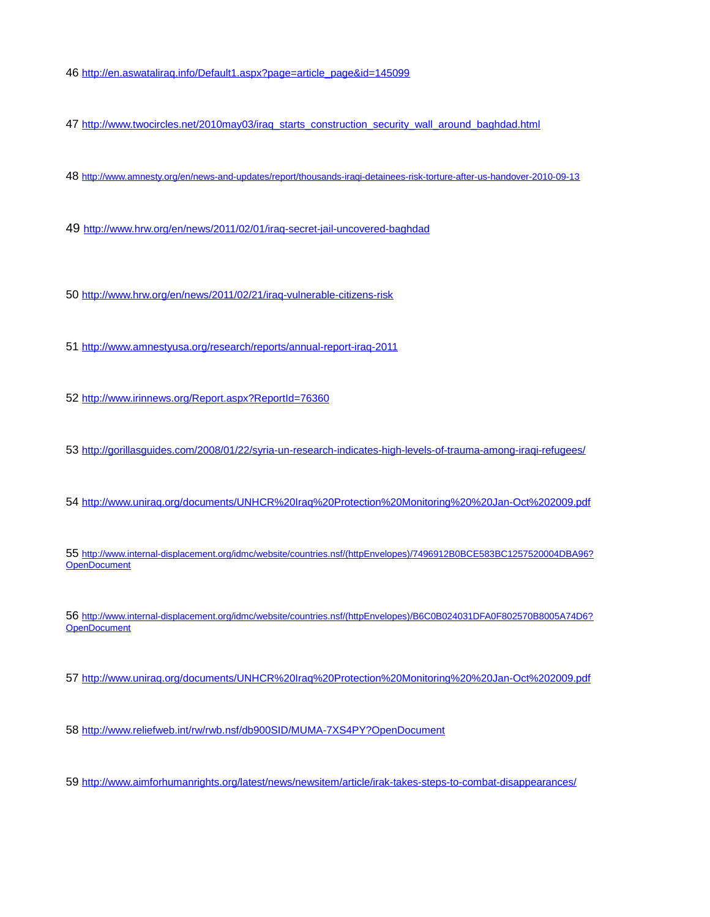[http://en.aswataliraq.info/Default1.aspx?page=article\\_page&id=145099](http://en.aswataliraq.info/Default1.aspx?page=article_page&id=145099)

<span id="page-24-0"></span>[http://www.twocircles.net/2010may03/iraq\\_starts\\_construction\\_security\\_wall\\_around\\_baghdad.html](http://www.twocircles.net/2010may03/iraq_starts_construction_security_wall_around_baghdad.html)

<span id="page-24-1"></span><http://www.amnesty.org/en/news-and-updates/report/thousands-iraqi-detainees-risk-torture-after-us-handover-2010-09-13>

<span id="page-24-2"></span><http://www.hrw.org/en/news/2011/02/01/iraq-secret-jail-uncovered-baghdad>

<span id="page-24-3"></span><http://www.hrw.org/en/news/2011/02/21/iraq-vulnerable-citizens-risk>

<span id="page-24-4"></span><http://www.amnestyusa.org/research/reports/annual-report-iraq-2011>

<span id="page-24-5"></span><http://www.irinnews.org/Report.aspx?ReportId=76360>

<span id="page-24-6"></span><http://gorillasguides.com/2008/01/22/syria-un-research-indicates-high-levels-of-trauma-among-iraqi-refugees/>

<span id="page-24-7"></span><http://www.uniraq.org/documents/UNHCR%20Iraq%20Protection%20Monitoring%20%20Jan-Oct%202009.pdf>

<span id="page-24-8"></span> [http://www.internal-displacement.org/idmc/website/countries.nsf/\(httpEnvelopes\)/7496912B0BCE583BC1257520004DBA96?](http://www.internal-displacement.org/idmc/website/countries.nsf/(httpEnvelopes)/7496912B0BCE583BC1257520004DBA96?OpenDocument) **[OpenDocument](http://www.internal-displacement.org/idmc/website/countries.nsf/(httpEnvelopes)/7496912B0BCE583BC1257520004DBA96?OpenDocument)** 

<span id="page-24-9"></span> [http://www.internal-displacement.org/idmc/website/countries.nsf/\(httpEnvelopes\)/B6C0B024031DFA0F802570B8005A74D6?](http://www.internal-displacement.org/idmc/website/countries.nsf/(httpEnvelopes)/B6C0B024031DFA0F802570B8005A74D6?OpenDocument) **[OpenDocument](http://www.internal-displacement.org/idmc/website/countries.nsf/(httpEnvelopes)/B6C0B024031DFA0F802570B8005A74D6?OpenDocument)** 

<span id="page-24-10"></span><http://www.uniraq.org/documents/UNHCR%20Iraq%20Protection%20Monitoring%20%20Jan-Oct%202009.pdf>

<span id="page-24-11"></span><http://www.reliefweb.int/rw/rwb.nsf/db900SID/MUMA-7XS4PY?OpenDocument>

<span id="page-24-13"></span><span id="page-24-12"></span><http://www.aimforhumanrights.org/latest/news/newsitem/article/irak-takes-steps-to-combat-disappearances/>